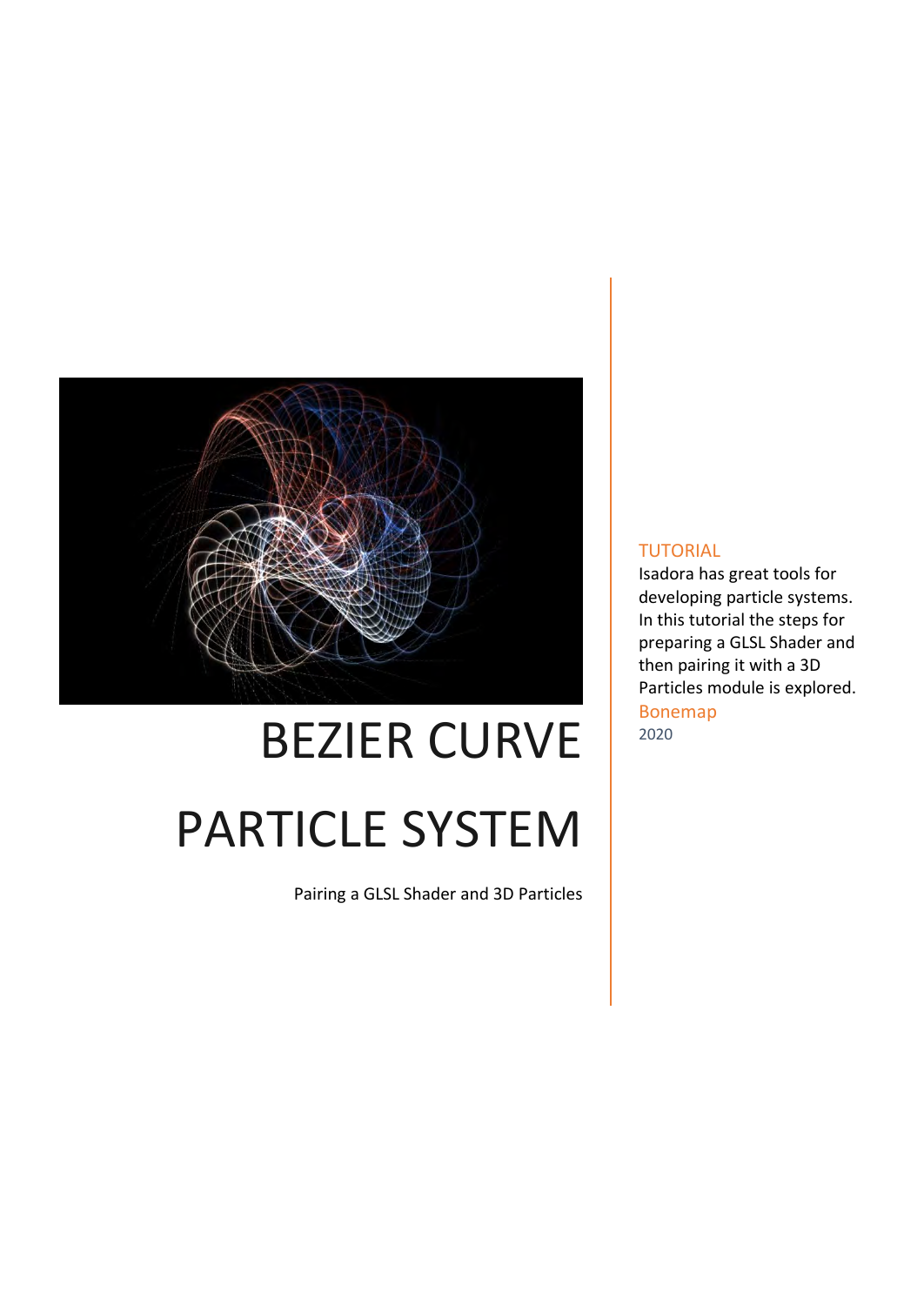

# BEZIER CURVE PARTICLE SYSTEM

Pairing a GLSL Shader and 3D Particles

#### TUTORIAL

Isadora has great tools for developing particle systems. In this tutorial the steps for preparing a GLSL Shader and then pairing it with a 3D Particles module is explored. Bonemap 2020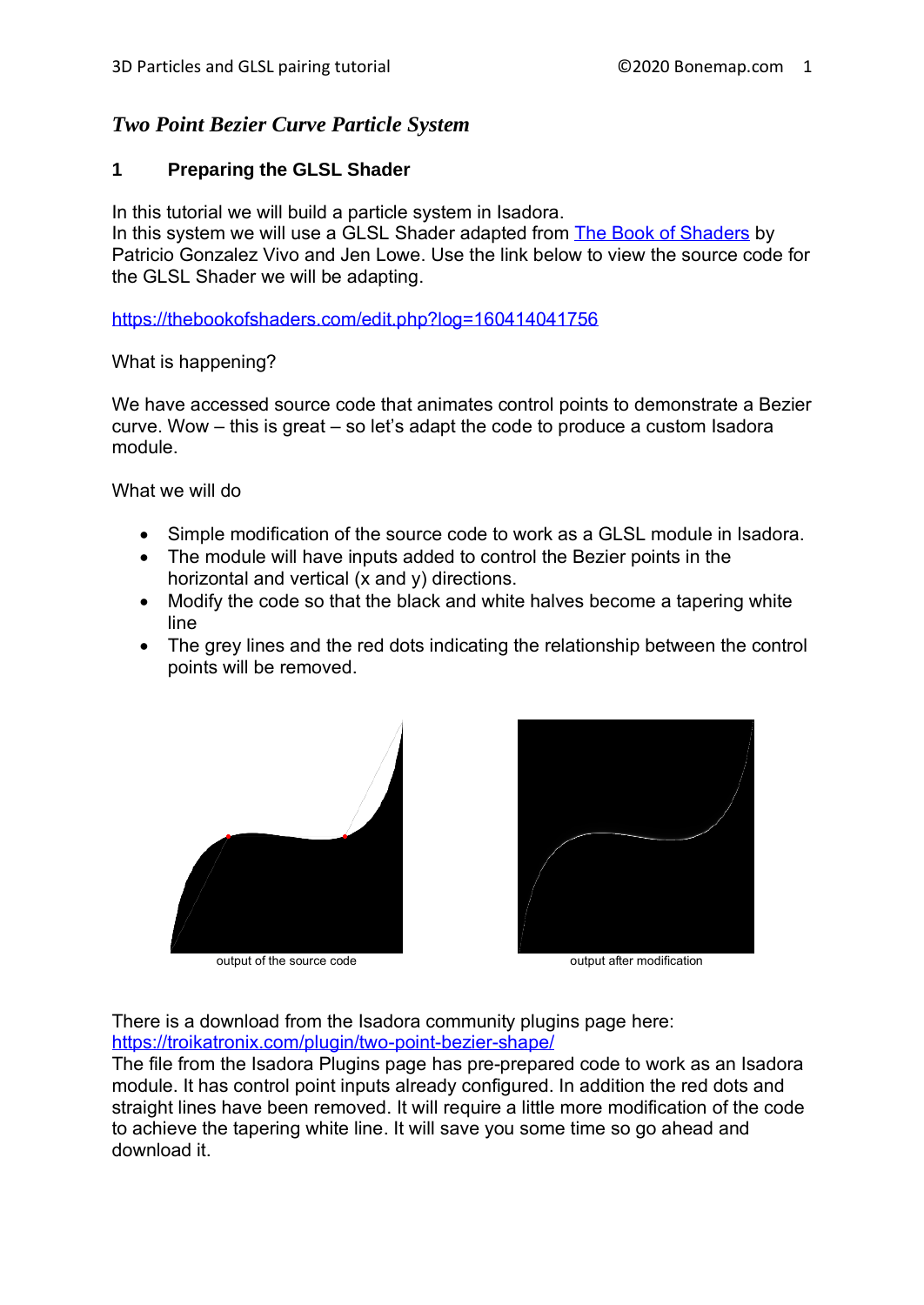# *Two Point Bezier Curve Particle System*

# **1 Preparing the GLSL Shader**

In this tutorial we will build a particle system in Isadora.

In this system we will use a GLSL Shader adapted from [The Book of Shaders](https://thebookofshaders.com/) by Patricio Gonzalez Vivo and Jen Lowe. Use the link below to view the source code for the GLSL Shader we will be adapting.

<https://thebookofshaders.com/edit.php?log=160414041756>

What is happening?

We have accessed source code that animates control points to demonstrate a Bezier curve. Wow – this is great – so let's adapt the code to produce a custom Isadora module.

What we will do

- Simple modification of the source code to work as a GLSL module in Isadora.
- The module will have inputs added to control the Bezier points in the horizontal and vertical (x and y) directions.
- Modify the code so that the black and white halves become a tapering white line
- The grey lines and the red dots indicating the relationship between the control points will be removed.



output of the source code **output after modification** 



There is a download from the Isadora community plugins page here: <https://troikatronix.com/plugin/two-point-bezier-shape/>

The file from the Isadora Plugins page has pre-prepared code to work as an Isadora module. It has control point inputs already configured. In addition the red dots and straight lines have been removed. It will require a little more modification of the code to achieve the tapering white line. It will save you some time so go ahead and download it.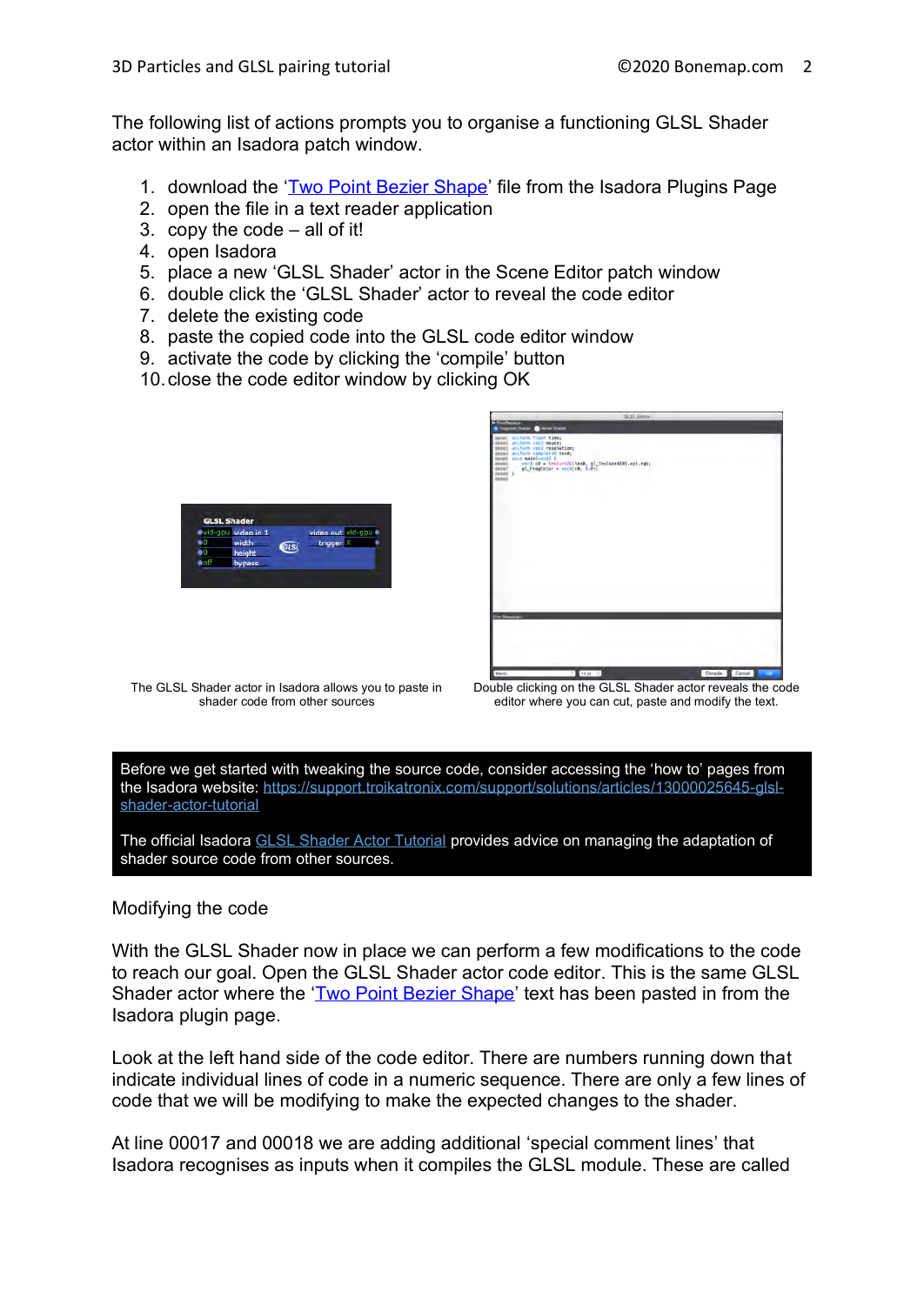The following list of actions prompts you to organise a functioning GLSL Shader actor within an Isadora patch window.

- 1. download the ['Two Point Bezier Shape'](https://troikatronix.com/plugin/two-point-bezier-shape/) file from the Isadora Plugins Page
- 2. open the file in a text reader application
- 3. copy the code all of it!
- 4. open Isadora
- 5. place a new 'GLSL Shader' actor in the Scene Editor patch window
- 6. double click the 'GLSL Shader' actor to reveal the code editor
- 7. delete the existing code
- 8. paste the copied code into the GLSL code editor window
- 9. activate the code by clicking the 'compile' button
- 10.close the code editor window by clicking OK





The GLSL Shader actor in Isadora allows you to paste in shader code from other sources

Double clicking on the GLSL Shader actor reveals the code editor where you can cut, paste and modify the text.

Before we get started with tweaking the source code, consider accessing the 'how to' pages from the Isadora website: [https://support.troikatronix.com/support/solutions/articles/13000025645-glsl](https://support.troikatronix.com/support/solutions/articles/13000025645-glsl-shader-actor-tutorial)[shader-actor-tutorial](https://support.troikatronix.com/support/solutions/articles/13000025645-glsl-shader-actor-tutorial)

The official Isadora [GLSL Shader Actor Tutorial](https://support.troikatronix.com/support/solutions/articles/13000025645-glsl-shader-actor-tutorial) provides advice on managing the adaptation of shader source code from other sources.

## Modifying the code

With the GLSL Shader now in place we can perform a few modifications to the code to reach our goal. Open the GLSL Shader actor code editor. This is the same GLSL Shader actor where the ['Two Point Bezier Shape'](https://troikatronix.com/plugin/two-point-bezier-shape/) text has been pasted in from the Isadora plugin page.

Look at the left hand side of the code editor. There are numbers running down that indicate individual lines of code in a numeric sequence. There are only a few lines of code that we will be modifying to make the expected changes to the shader.

At line 00017 and 00018 we are adding additional 'special comment lines' that Isadora recognises as inputs when it compiles the GLSL module. These are called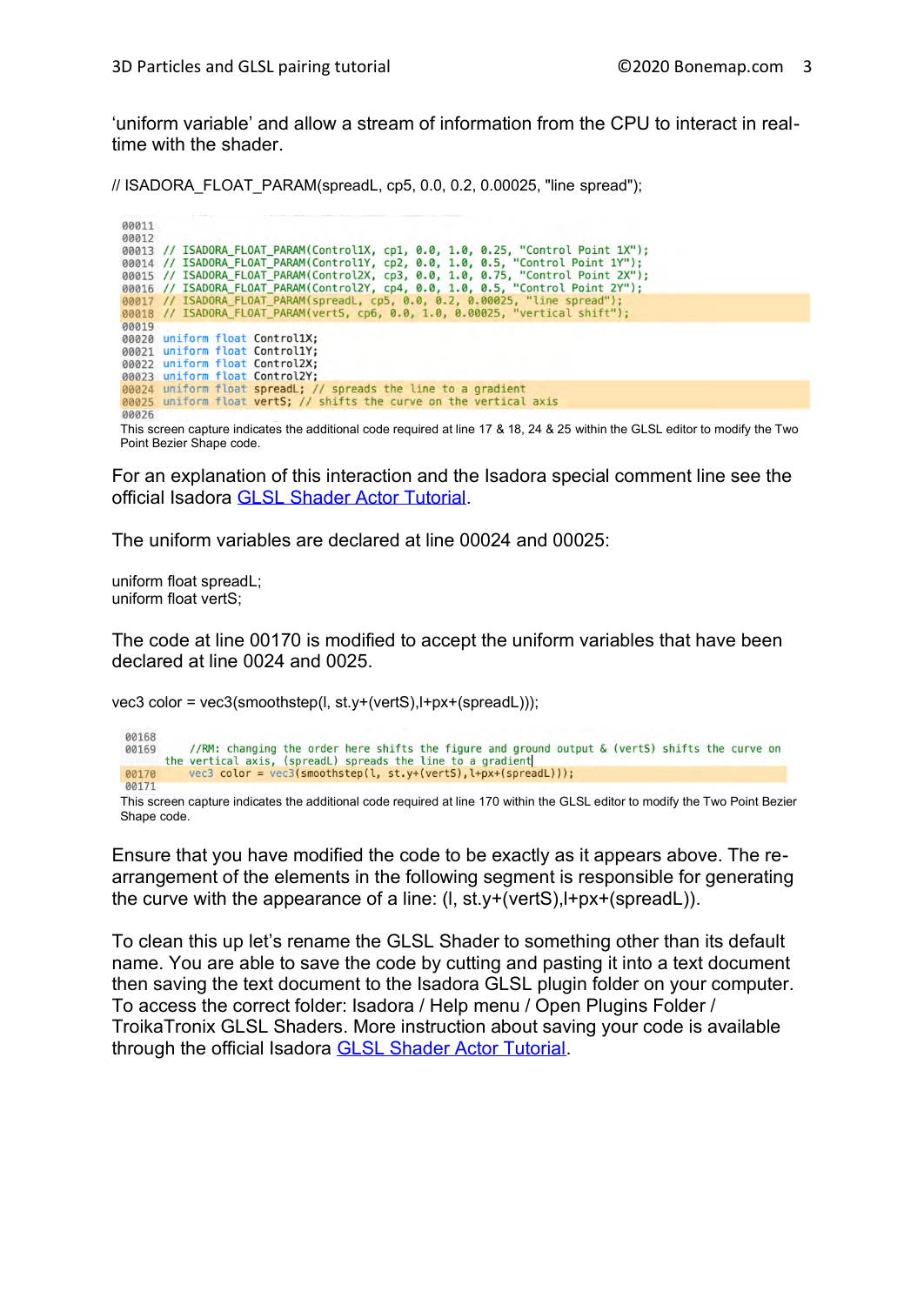'uniform variable' and allow a stream of information from the CPU to interact in realtime with the shader.

// ISADORA\_FLOAT\_PARAM(spreadL, cp5, 0.0, 0.2, 0.00025, "line spread");

00011 00012 00013 // ISADORA\_FLOAT\_PARAM(Control1X, cp1, 0.0, 1.0, 0.25, "Control Point 1X");<br>00014 // ISADORA\_FLOAT\_PARAM(Control1Y, cp2, 0.0, 1.0, 0.5, "Control Point 1Y"); 00013 // ISADORA\_FLOAT\_PARAM(ControllX, Cp1, 0.0, 1.0, 0.25, "Control Point 1X");<br>00014 // ISADORA\_FLOAT\_PARAM(ControllY, cp2, 0.0, 1.0, 0.5, "Control Point 1Y");<br>00015 // ISADORA\_FLOAT\_PARAM(ControllY, cp3, 0.0, 1.0, 0.75 00019 00020 uniform float Control1X; 00021 uniform float Control1Y; 00022 uniform float Control2X; 00023 uniform float Control2Y;<br>00023 uniform float SpreadL; // spreads the line to a gradient<br>00025 uniform float vertS; // shifts the curve on the vertical axis 00026

This screen capture indicates the additional code required at line 17 & 18, 24 & 25 within the GLSL editor to modify the Two Point Bezier Shape code.

For an explanation of this interaction and the Isadora special comment line see the official Isadora [GLSL Shader Actor Tutorial.](https://support.troikatronix.com/support/solutions/articles/13000025645-glsl-shader-actor-tutorial)

The uniform variables are declared at line 00024 and 00025:

uniform float spreadL; uniform float vertS;

The code at line 00170 is modified to accept the uniform variables that have been declared at line 0024 and 0025.

vec3 color = vec3(smoothstep(l, st.y+(vertS),l+px+(spreadL)));



This screen capture indicates the additional code required at line 170 within the GLSL editor to modify the Two Point Bezier Shape code.

Ensure that you have modified the code to be exactly as it appears above. The rearrangement of the elements in the following segment is responsible for generating the curve with the appearance of a line: (l, st.y+(vertS),l+px+(spreadL)).

To clean this up let's rename the GLSL Shader to something other than its default name. You are able to save the code by cutting and pasting it into a text document then saving the text document to the Isadora GLSL plugin folder on your computer. To access the correct folder: Isadora / Help menu / Open Plugins Folder / TroikaTronix GLSL Shaders. More instruction about saving your code is available through the official Isadora [GLSL Shader Actor Tutorial.](https://support.troikatronix.com/support/solutions/articles/13000025645-glsl-shader-actor-tutorial)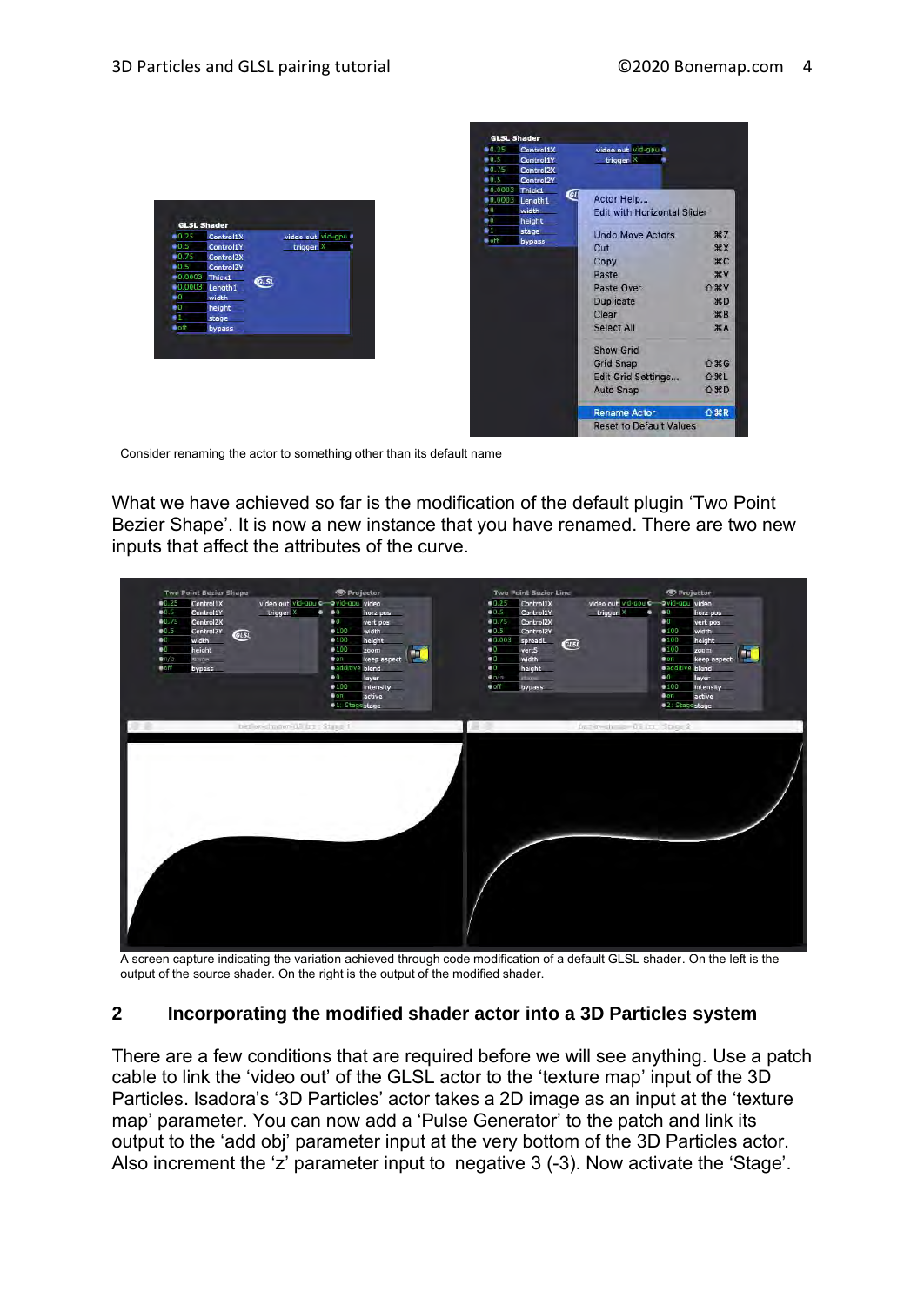**HZ** XX

XC

**V** 

**XD** 

**第B** 

**XX** 

介黑G

**介米L** 

**企業D** 

 $0$   $R$ R

O XV



Consider renaming the actor to something other than its default name

What we have achieved so far is the modification of the default plugin 'Two Point Bezier Shape'. It is now a new instance that you have renamed. There are two new inputs that affect the attributes of the curve.

Control1X



A screen capture indicating the variation achieved through code modification of a default GLSL shader. On the left is the output of the source shader. On the right is the output of the modified shader.

## **2 Incorporating the modified shader actor into a 3D Particles system**

There are a few conditions that are required before we will see anything. Use a patch cable to link the 'video out' of the GLSL actor to the 'texture map' input of the 3D Particles. Isadora's '3D Particles' actor takes a 2D image as an input at the 'texture map' parameter. You can now add a 'Pulse Generator' to the patch and link its output to the 'add obj' parameter input at the very bottom of the 3D Particles actor. Also increment the 'z' parameter input to negative 3 (-3). Now activate the 'Stage'.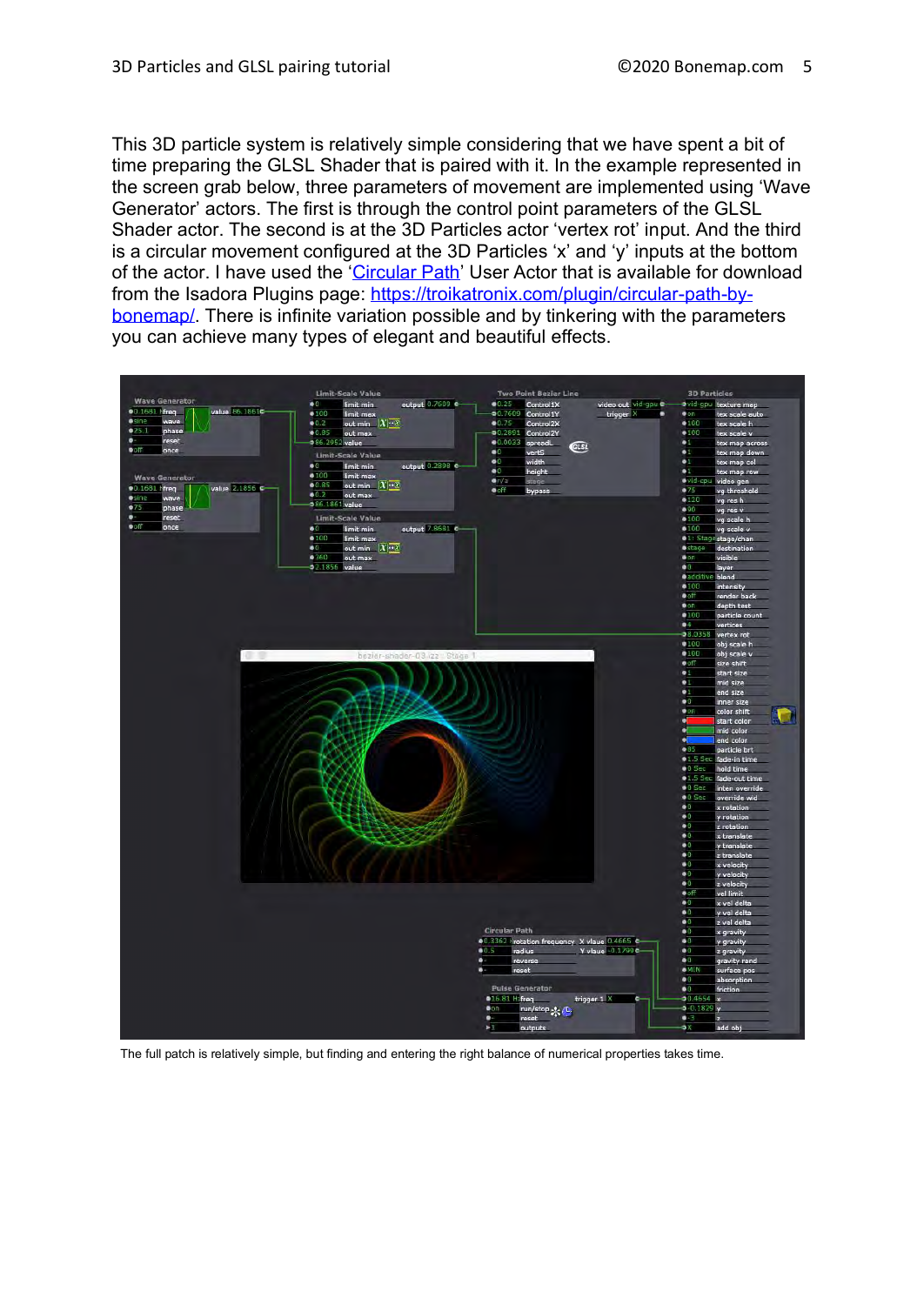This 3D particle system is relatively simple considering that we have spent a bit of time preparing the GLSL Shader that is paired with it. In the example represented in the screen grab below, three parameters of movement are implemented using 'Wave Generator' actors. The first is through the control point parameters of the GLSL Shader actor. The second is at the 3D Particles actor 'vertex rot' input. And the third is a circular movement configured at the 3D Particles 'x' and 'y' inputs at the bottom of the actor. I have used the ['Circular Path'](https://troikatronix.com/plugin/circular-path-by-bonemap/) User Actor that is available for download from the Isadora Plugins page: [https://troikatronix.com/plugin/circular-path-by](https://troikatronix.com/plugin/circular-path-by-bonemap/)[bonemap/.](https://troikatronix.com/plugin/circular-path-by-bonemap/) There is infinite variation possible and by tinkering with the parameters you can achieve many types of elegant and beautiful effects.



The full patch is relatively simple, but finding and entering the right balance of numerical properties takes time.